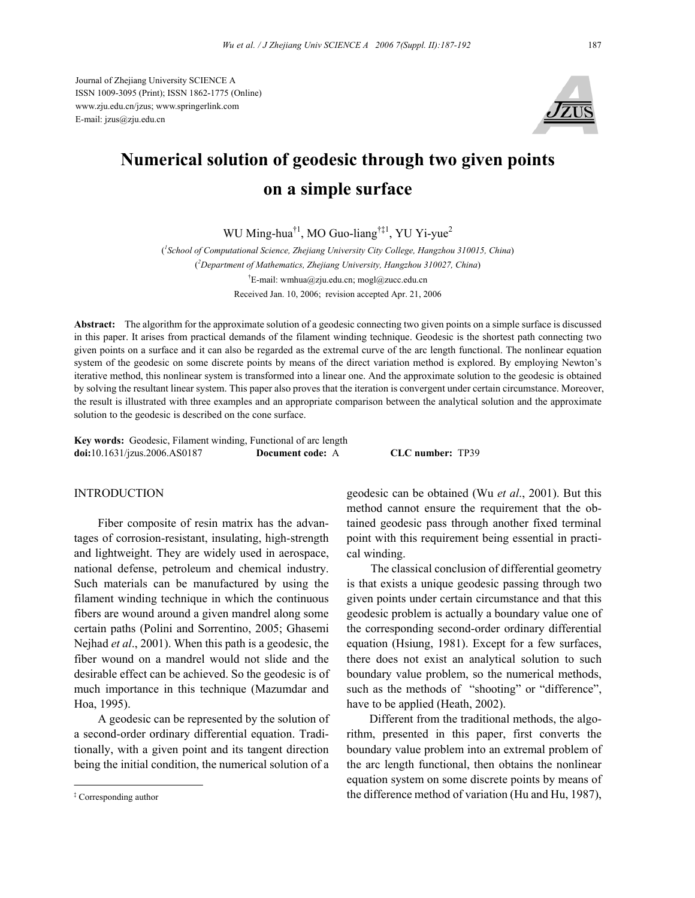Journal of Zhejiang University SCIENCE A ISSN 1009-3095 (Print); ISSN 1862-1775 (Online) www.zju.edu.cn/jzus; www.springerlink.com E-mail: jzus@zju.edu.cn



# **Numerical solution of geodesic through two given points on a simple surface**

WU Ming-hua<sup>†1</sup>, MO Guo-liang<sup>†‡1</sup>, YU Yi-yue<sup>2</sup>

( *1 School of Computational Science, Zhejiang University City College, Hangzhou 310015, China*) ( *2 Department of Mathematics, Zhejiang University, Hangzhou 310027, China*) † E-mail: wmhua@zju.edu.cn; mogl@zucc.edu.cn Received Jan. 10, 2006; revision accepted Apr. 21, 2006

Abstract: The algorithm for the approximate solution of a geodesic connecting two given points on a simple surface is discussed in this paper. It arises from practical demands of the filament winding technique. Geodesic is the shortest path connecting two given points on a surface and it can also be regarded as the extremal curve of the arc length functional. The nonlinear equation system of the geodesic on some discrete points by means of the direct variation method is explored. By employing Newton's iterative method, this nonlinear system is transformed into a linear one. And the approximate solution to the geodesic is obtained by solving the resultant linear system. This paper also proves that the iteration is convergent under certain circumstance. Moreover, the result is illustrated with three examples and an appropriate comparison between the analytical solution and the approximate solution to the geodesic is described on the cone surface.

**Key words:** Geodesic, Filament winding, Functional of arc length **doi:**10.1631/jzus.2006.AS0187 **Document code:** A **CLC number:** TP39

## **INTRODUCTION**

Fiber composite of resin matrix has the advantages of corrosion-resistant, insulating, high-strength and lightweight. They are widely used in aerospace, national defense, petroleum and chemical industry. Such materials can be manufactured by using the filament winding technique in which the continuous fibers are wound around a given mandrel along some certain paths (Polini and Sorrentino, 2005; Ghasemi Nejhad *et al*., 2001). When this path is a geodesic, the fiber wound on a mandrel would not slide and the desirable effect can be achieved. So the geodesic is of much importance in this technique (Mazumdar and Hoa, 1995).

A geodesic can be represented by the solution of a second-order ordinary differential equation. Traditionally, with a given point and its tangent direction being the initial condition, the numerical solution of a

geodesic can be obtained (Wu *et al*., 2001). But this method cannot ensure the requirement that the obtained geodesic pass through another fixed terminal point with this requirement being essential in practical winding.

The classical conclusion of differential geometry is that exists a unique geodesic passing through two given points under certain circumstance and that this geodesic problem is actually a boundary value one of the corresponding second-order ordinary differential equation (Hsiung, 1981). Except for a few surfaces, there does not exist an analytical solution to such boundary value problem, so the numerical methods, such as the methods of "shooting" or "difference", have to be applied (Heath, 2002).

Different from the traditional methods, the algorithm, presented in this paper, first converts the boundary value problem into an extremal problem of the arc length functional, then obtains the nonlinear equation system on some discrete points by means of the difference method of variation (Hu and Hu, 1987),

<sup>‡</sup> Corresponding author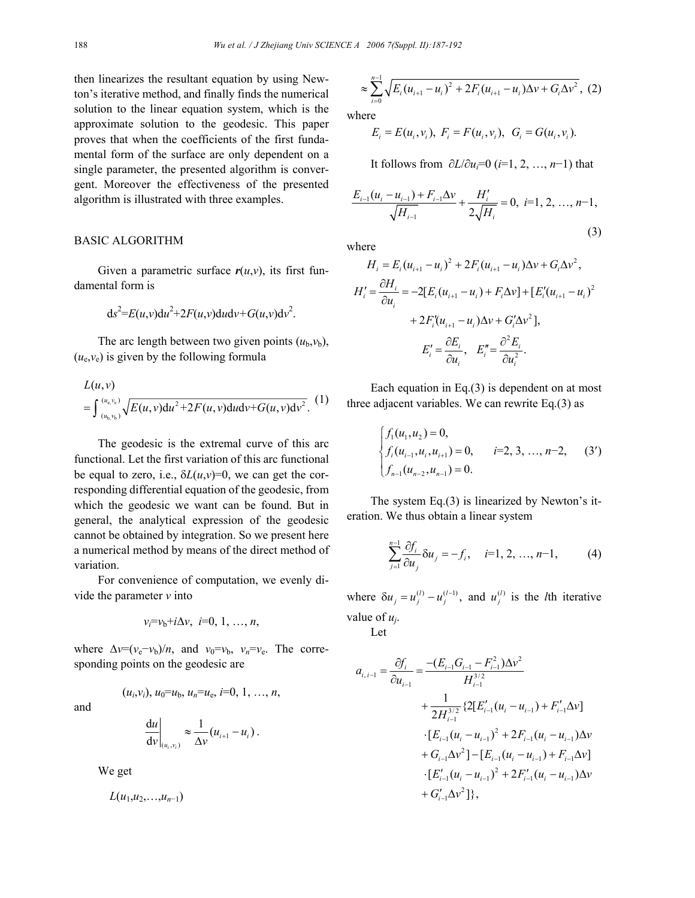then linearizes the resultant equation by using Newton's iterative method, and finally finds the numerical solution to the linear equation system, which is the approximate solution to the geodesic. This paper proves that when the coefficients of the first fundamental form of the surface are only dependent on a single parameter, the presented algorithm is convergent. Moreover the effectiveness of the presented algorithm is illustrated with three examples.

# BASIC ALGORITHM

Given a parametric surface  $r(u, v)$ , its first fundamental form is

$$
ds2=E(u,v)du2+2F(u,v)dudv+G(u,v)dv2.
$$

The arc length between two given points  $(u_b, v_b)$ ,  $(u_e, v_e)$  is given by the following formula

$$
L(u, v) = \int_{(u_0, v_0)}^{(u_0, v_0)} \sqrt{E(u, v) \, du^2 + 2F(u, v) \, du \, dv + G(u, v) \, dv^2}.
$$
 (1)

The geodesic is the extremal curve of this arc functional. Let the first variation of this arc functional be equal to zero, i.e.,  $\delta L(u,v)=0$ , we can get the corresponding differential equation of the geodesic, from which the geodesic we want can be found. But in general, the analytical expression of the geodesic cannot be obtained by integration. So we present here a numerical method by means of the direct method of variation.

For convenience of computation, we evenly divide the parameter *v* into

$$
v_i = v_b + i\Delta v, \quad i = 0, 1, ..., n,
$$

where  $\Delta v = (v_e - v_b)/n$ , and  $v_0 = v_b$ ,  $v_n = v_e$ . The corresponding points on the geodesic are

> $(u_i, v_i)$ ,  $u_0 = u_0$ ,  $u_n = u_e$ ,  $i = 0, 1, \ldots, n$ ,  $\frac{du}{dv}\bigg|_{(u_i, v_i)} \approx \frac{1}{\Delta v}(u_{i+1} - u_i)$  $\sum_{u_i,v_i} \alpha u_i$  $\frac{u}{v}\bigg|_{(u,v)} \approx \frac{1}{\Delta v}(u_{i+1} - u_i).$

We get

and

$$
L(u_1,u_2,\ldots,u_{n-1})
$$

$$
\approx \sum_{i=0}^{n-1} \sqrt{E_i (u_{i+1} - u_i)^2 + 2F_i (u_{i+1} - u_i) \Delta v + G_i \Delta v^2}, (2)
$$

where

$$
E_i = E(u_i, v_i), \ F_i = F(u_i, v_i), \ G_i = G(u_i, v_i).
$$

It follows from ∂*L*/∂*ui*=0 (*i*=1, 2, …, *n*−1) that

$$
\frac{E_{i-1}(u_i - u_{i-1}) + F_{i-1}\Delta v}{\sqrt{H_{i-1}}} + \frac{H_i'}{2\sqrt{H_i}} = 0, \ i = 1, 2, ..., n-1,
$$
\n(3)

where

$$
H_{i} = E_{i}(u_{i+1} - u_{i})^{2} + 2F_{i}(u_{i+1} - u_{i})\Delta v + G_{i}\Delta v^{2},
$$
  
\n
$$
H'_{i} = \frac{\partial H_{i}}{\partial u_{i}} = -2[E_{i}(u_{i+1} - u_{i}) + F_{i}\Delta v] + [E'_{i}(u_{i+1} - u_{i})^{2}
$$
  
\n
$$
+ 2F'_{i}(u_{i+1} - u_{i})\Delta v + G'_{i}\Delta v^{2}],
$$
  
\n
$$
E'_{i} = \frac{\partial E_{i}}{\partial u_{i}}, \quad E''_{i} = \frac{\partial^{2} E_{i}}{\partial u_{i}^{2}}.
$$

Each equation in Eq.(3) is dependent on at most three adjacent variables. We can rewrite Eq.(3) as

$$
\begin{cases}\nf_1(u_1, u_2) = 0, \\
f_i(u_{i-1}, u_i, u_{i+1}) = 0, \quad i=2, 3, \dots, n-2, \quad (3') \\
f_{n-1}(u_{n-2}, u_{n-1}) = 0.\n\end{cases}
$$

The system Eq.(3) is linearized by Newton's iteration. We thus obtain a linear system

$$
\sum_{j=1}^{n-1} \frac{\partial f_i}{\partial u_j} \delta u_j = -f_i, \quad i=1, 2, ..., n-1,
$$
 (4)

where  $\delta u_j = u_j^{(l)} - u_j^{(l-1)}$ , and  $u_j^{(l)}$  is the *l*th iterative value of *uj*.

Let

$$
a_{i,i-1} = \frac{\partial f_i}{\partial u_{i-1}} = \frac{-(E_{i-1}G_{i-1} - F_{i-1}^2)\Delta v^2}{H_{i-1}^{3/2}} + \frac{1}{2H_{i-1}^{3/2}} \{2[E'_{i-1}(u_i - u_{i-1}) + F'_{i-1}\Delta v] \cdot [E_{i-1}(u_i - u_{i-1})^2 + 2F_{i-1}(u_i - u_{i-1})\Delta v + G_{i-1}\Delta v^2] - [E_{i-1}(u_i - u_{i-1}) + F_{i-1}\Delta v] \cdot [E'_{i-1}(u_i - u_{i-1})^2 + 2F'_{i-1}(u_i - u_{i-1})\Delta v + G'_{i-1}\Delta v^2] \},
$$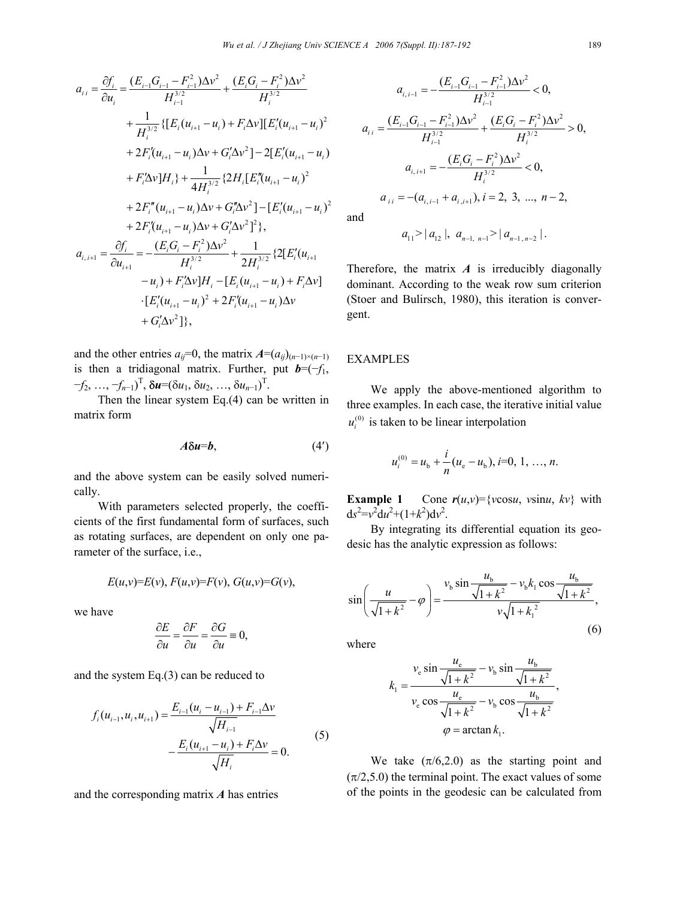$$
a_{ii} = \frac{\partial f_i}{\partial u_i} = \frac{(E_{i-1}G_{i-1} - F_{i-1}^2)\Delta v^2}{H_{i-1}^{3/2}} + \frac{(E_iG_i - F_i^2)\Delta v^2}{H_i^{3/2}} + \frac{1}{H_i^{3/2}} \{[E_i(u_{i+1} - u_i) + F_i\Delta v][E_i'(u_{i+1} - u_i)^2 \n+ 2F_i'(u_{i+1} - u_i)\Delta v + G_i'\Delta v^2] - 2[E_i'(u_{i+1} - u_i) \n+ F_i'\Delta v]H_i\} + \frac{1}{4H_i^{3/2}} \{2H_i[E_i''(u_{i+1} - u_i)^2 \n+ 2F_i''(u_{i+1} - u_i)\Delta v + G_i'\Delta v^2] - [E_i'(u_{i+1} - u_i)^2 \n+ 2F_i'(u_{i+1} - u_i)\Delta v + G_i'\Delta v^2]^2\},
$$
\n
$$
a_{i,i+1} = \frac{\partial f_i}{\partial u_{i+1}} = -\frac{(E_iG_i - F_i^2)\Delta v^2}{H_i^{3/2}} + \frac{1}{2H_i^{3/2}} \{2[E_i'(u_{i+1} - u_i) + F_i'\Delta v] - [E_i'(u_{i+1} - u_i) + F_i'\Delta v] + [E_i'(u_{i+1} - u_i)^2 + 2F_i'(u_{i+1} - u_i)\Delta v] + G_i'\Delta v^2]\},
$$

and the other entries  $a_{ij}=0$ , the matrix  $A=(a_{ij})_{(n-1)\times(n-1)}$ is then a tridiagonal matrix. Further, put  $b=(-f_1,$  $-f_2, \ldots, -f_{n-1}$ <sup>T</sup>, **δ***u*=(δ*u*<sub>1</sub>, δ*u*<sub>2</sub>, ..., δ*u*<sub>n-1</sub>)<sup>T</sup>.

Then the linear system Eq.(4) can be written in matrix form

$$
A\delta u = b,\tag{4'}
$$

and the above system can be easily solved numerically.

With parameters selected properly, the coefficients of the first fundamental form of surfaces, such as rotating surfaces, are dependent on only one parameter of the surface, i.e.,

$$
E(u, v) = E(v), F(u, v) = F(v), G(u, v) = G(v),
$$

we have

$$
\frac{\partial E}{\partial u} = \frac{\partial F}{\partial u} = \frac{\partial G}{\partial u} \equiv 0,
$$

and the system Eq.(3) can be reduced to

$$
f_i(u_{i-1}, u_i, u_{i+1}) = \frac{E_{i-1}(u_i - u_{i-1}) + F_{i-1}\Delta v}{\sqrt{H_{i-1}}} - \frac{E_i(u_{i+1} - u_i) + F_i\Delta v}{\sqrt{H_i}} = 0.
$$
 (5)

and the corresponding matrix *A* has entries

$$
a_{i,i-1} = -\frac{(E_{i-1}G_{i-1} - F_{i-1}^2)\Delta v^2}{H_{i-1}^{3/2}} < 0,
$$
  
\n
$$
a_{ii} = \frac{(E_{i-1}G_{i-1} - F_{i-1}^2)\Delta v^2}{H_{i-1}^{3/2}} + \frac{(E_iG_i - F_i^2)\Delta v^2}{H_i^{3/2}} > 0,
$$
  
\n
$$
a_{i,i+1} = -\frac{(E_iG_i - F_i^2)\Delta v^2}{H_i^{3/2}} < 0,
$$
  
\n
$$
a_{ii} = -(a_{i,i-1} + a_{i,i+1}), i = 2, 3, ..., n-2,
$$

and

$$
a_{11} > | a_{12} |, a_{n-1, n-1} > | a_{n-1, n-2} |.
$$

Therefore, the matrix  $\vec{A}$  is irreducibly diagonally dominant. According to the weak row sum criterion (Stoer and Bulirsch, 1980), this iteration is convergent.

## EXAMPLES

We apply the above-mentioned algorithm to three examples. In each case, the iterative initial value  $u_i^{(0)}$  is taken to be linear interpolation

$$
u_i^{(0)} = u_b + \frac{i}{n}(u_e - u_b), i=0, 1, ..., n.
$$

**Example 1** Cone  $r(u, v) = \{v \cos u, v \sin u, kv\}$  with  $ds^2 = v^2 du^2 + (1 + k^2) dv^2$ .

By integrating its differential equation its geodesic has the analytic expression as follows:

$$
\sin\left(\frac{u}{\sqrt{1+k^2}} - \varphi\right) = \frac{v_b \sin\frac{u_b}{\sqrt{1+k^2}} - v_b k_1 \cos\frac{u_b}{\sqrt{1+k^2}}}{v \sqrt{1+k_1^2}},
$$
\n(6)

where

$$
k_1 = \frac{v_e \sin \frac{u_e}{\sqrt{1 + k^2}} - v_b \sin \frac{u_b}{\sqrt{1 + k^2}}}{v_e \cos \frac{u_e}{\sqrt{1 + k^2}} - v_b \cos \frac{u_b}{\sqrt{1 + k^2}}},
$$
  

$$
\varphi = \arctan k_1.
$$

We take  $(\pi/6,2.0)$  as the starting point and  $(\pi/2,5.0)$  the terminal point. The exact values of some of the points in the geodesic can be calculated from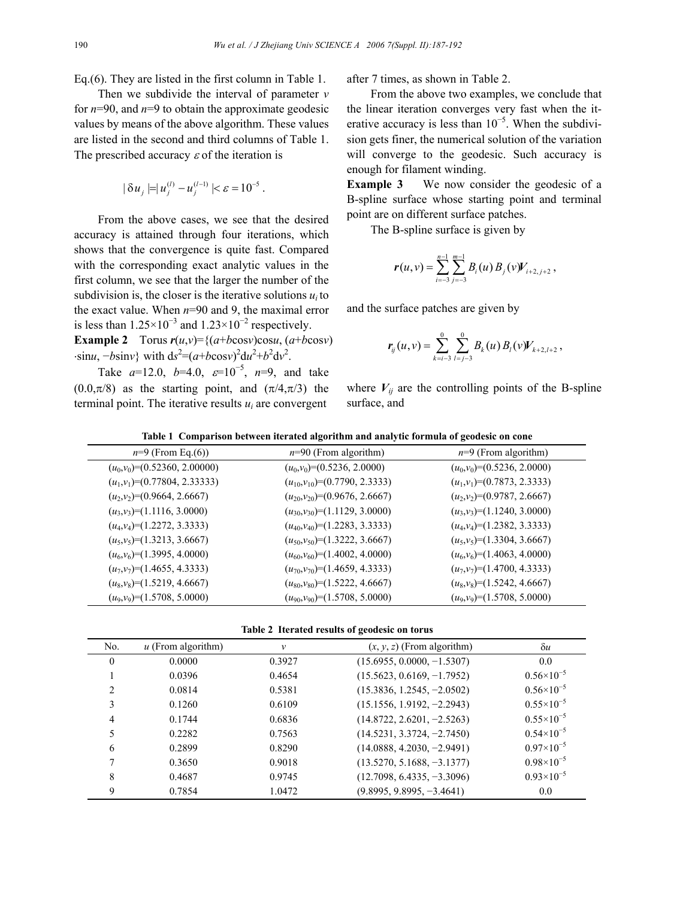Eq.(6). They are listed in the first column in Table 1.

Then we subdivide the interval of parameter *v* for  $n=90$ , and  $n=9$  to obtain the approximate geodesic values by means of the above algorithm. These values are listed in the second and third columns of Table 1. The prescribed accuracy  $\varepsilon$  of the iteration is

$$
|\delta u_j| = |u_j^{(l)} - u_j^{(l-1)}| < \varepsilon = 10^{-5}.
$$

From the above cases, we see that the desired accuracy is attained through four iterations, which shows that the convergence is quite fast. Compared with the corresponding exact analytic values in the first column, we see that the larger the number of the subdivision is, the closer is the iterative solutions  $u_i$  to the exact value. When *n*=90 and 9, the maximal error is less than  $1.25 \times 10^{-3}$  and  $1.23 \times 10^{-2}$  respectively.

**Example 2** Torus  $r(u,y) = \{(a+b\cos v)\cos u, (a+b\cos v)\}$  $\cdot$ sin*u*,  $-b\sin v$ } with  $ds^2 = (a+b\cos v)^2 du^2 + b^2 dv^2$ .

Take  $a=12.0$ ,  $b=4.0$ ,  $\varepsilon=10^{-5}$ ,  $n=9$ , and take  $(0.0, \pi/8)$  as the starting point, and  $(\pi/4, \pi/3)$  the terminal point. The iterative results  $u_i$  are convergent

after 7 times, as shown in Table 2.

From the above two examples, we conclude that the linear iteration converges very fast when the iterative accuracy is less than  $10^{-5}$ . When the subdivision gets finer, the numerical solution of the variation will converge to the geodesic. Such accuracy is enough for filament winding.

**Example 3** We now consider the geodesic of a B-spline surface whose starting point and terminal point are on different surface patches.

The B-spline surface is given by

$$
\boldsymbol{r}(u,v) = \sum_{i=-3}^{n-1} \sum_{j=-3}^{m-1} B_i(u) B_j(v) V_{i+2,j+2},
$$

and the surface patches are given by

$$
\mathbf{r}_{ij}(u,v) = \sum_{k=i-3}^{0} \sum_{l=j-3}^{0} B_k(u) B_l(v) V_{k+2,l+2},
$$

where  $V_{ij}$  are the controlling points of the B-spline surface, and

|  |  |  | Table 1 Comparison between iterated algorithm and analytic formula of geodesic on cone |
|--|--|--|----------------------------------------------------------------------------------------|
|  |  |  |                                                                                        |

| $n=9$ (From Eq.(6))               | $n=90$ (From algorithm)               | $n=9$ (From algorithm)          |
|-----------------------------------|---------------------------------------|---------------------------------|
| $(u_0, v_0) = (0.52360, 2.00000)$ | $(u_0, v_0) = (0.5236, 2.0000)$       | $(u_0, v_0) = (0.5236, 2.0000)$ |
| $(u_1, v_1) = (0.77804, 2.33333)$ | $(u_{10},v_{10})=(0.7790, 2.3333)$    | $(u_1, v_1) = (0.7873, 2.3333)$ |
| $(u_2, v_2)=(0.9664, 2.6667)$     | $(u_{20},v_{20})=(0.9676, 2.6667)$    | $(u_2, v_2)=(0.9787, 2.6667)$   |
| $(u_3, v_3)=(1.1116, 3.0000)$     | $(u_{30},v_{30})=(1.1129, 3.0000)$    | $(u_3, v_3)=(1.1240, 3.0000)$   |
| $(u_4, v_4) = (1.2272, 3.3333)$   | $(u_{40},v_{40})=(1.2283, 3.3333)$    | $(u_4, v_4) = (1.2382, 3.3333)$ |
| $(u_5, v_5) = (1.3213, 3.6667)$   | $(u_{50},v_{50})=(1.3222, 3.6667)$    | $(u_5, v_5) = (1.3304, 3.6667)$ |
| $(u_6, v_6) = (1.3995, 4.0000)$   | $(u_{60}, v_{60}) = (1.4002, 4.0000)$ | $(u_6, v_6) = (1.4063, 4.0000)$ |
| $(u_7, v_7) = (1.4655, 4.3333)$   | $(u_{70},v_{70})=(1.4659, 4.3333)$    | $(u_7, v_7) = (1.4700, 4.3333)$ |
| $(u_8, v_8) = (1.5219, 4.6667)$   | $(u_{80},v_{80})=(1.5222, 4.6667)$    | $(u_8, v_8) = (1.5242, 4.6667)$ |
| $(u_9, v_9) = (1.5708, 5.0000)$   | $(u_{90}, v_{90}) = (1.5708, 5.0000)$ | $(u_9, v_9) = (1.5708, 5.0000)$ |

**Table 2 Iterated results of geodesic on torus** 

| No.            | $u$ (From algorithm) | v      | $(x, y, z)$ (From algorithm) | $\delta u$            |
|----------------|----------------------|--------|------------------------------|-----------------------|
| $\theta$       | 0.0000               | 0.3927 | $(15.6955, 0.0000, -1.5307)$ | 0.0                   |
|                | 0.0396               | 0.4654 | $(15.5623, 0.6169, -1.7952)$ | $0.56\times10^{-5}$   |
| $\mathfrak{D}$ | 0.0814               | 0.5381 | $(15.3836, 1.2545, -2.0502)$ | $0.56 \times 10^{-5}$ |
| 3              | 0.1260               | 0.6109 | $(15.1556, 1.9192, -2.2943)$ | $0.55\times10^{-5}$   |
| 4              | 0.1744               | 0.6836 | $(14.8722, 2.6201, -2.5263)$ | $0.55\times10^{-5}$   |
| 5              | 0.2282               | 0.7563 | $(14.5231, 3.3724, -2.7450)$ | $0.54\times10^{-5}$   |
| 6              | 0.2899               | 0.8290 | $(14.0888, 4.2030, -2.9491)$ | $0.97\times10^{-5}$   |
|                | 0.3650               | 0.9018 | $(13.5270, 5.1688, -3.1377)$ | $0.98\times10^{-5}$   |
| 8              | 0.4687               | 0.9745 | $(12.7098, 6.4335, -3.3096)$ | $0.93\times10^{-5}$   |
| 9              | 0.7854               | 1.0472 | $(9.8995, 9.8995, -3.4641)$  | 0.0                   |

L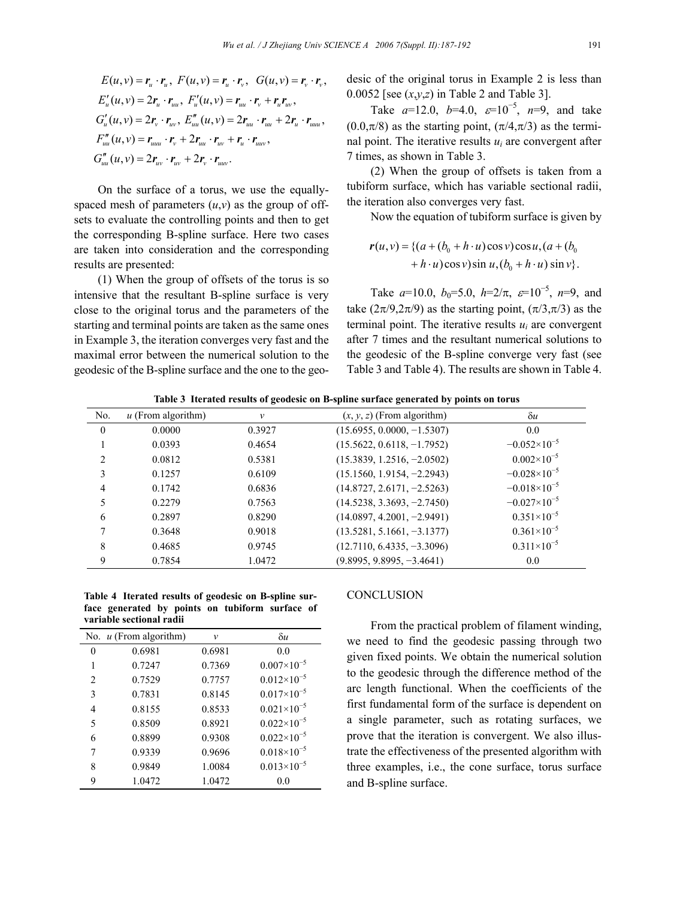$$
E(u, v) = r_u \cdot r_u, \ F(u, v) = r_u \cdot r_v, \ G(u, v) = r_v \cdot r_v,
$$
  
\n
$$
E'_u(u, v) = 2r_u \cdot r_{uu}, \ F'_u(u, v) = r_{uu} \cdot r_v + r_u r_{uv},
$$
  
\n
$$
G'_u(u, v) = 2r_v \cdot r_{uv}, \ E''_{uu}(u, v) = 2r_{uu} \cdot r_{uu} + 2r_u \cdot r_{uuu},
$$
  
\n
$$
F''_{uu}(u, v) = r_{uuu} \cdot r_v + 2r_{uu} \cdot r_{uv} + r_u \cdot r_{uw},
$$
  
\n
$$
G''_{uu}(u, v) = 2r_{uv} \cdot r_{uv} + 2r_v \cdot r_{uw}.
$$

On the surface of a torus, we use the equallyspaced mesh of parameters  $(u, v)$  as the group of offsets to evaluate the controlling points and then to get the corresponding B-spline surface. Here two cases are taken into consideration and the corresponding results are presented:

(1) When the group of offsets of the torus is so intensive that the resultant B-spline surface is very close to the original torus and the parameters of the starting and terminal points are taken as the same ones in Example 3, the iteration converges very fast and the maximal error between the numerical solution to the geodesic of the B-spline surface and the one to the geodesic of the original torus in Example 2 is less than 0.0052 [see (*x*,*y*,*z*) in Table 2 and Table 3].

Take  $a=12.0$ ,  $b=4.0$ ,  $\varepsilon=10^{-5}$ ,  $n=9$ , and take  $(0.0, \pi/8)$  as the starting point,  $(\pi/4, \pi/3)$  as the terminal point. The iterative results  $u_i$  are convergent after 7 times, as shown in Table 3.

(2) When the group of offsets is taken from a tubiform surface, which has variable sectional radii, the iteration also converges very fast.

Now the equation of tubiform surface is given by

$$
\mathbf{r}(u, v) = \{ (a + (b_0 + h \cdot u)\cos v)\cos u, (a + (b_0 + h \cdot u)\cos v)\sin u, (b_0 + h \cdot u)\sin v \}.
$$

Take  $a=10.0$ ,  $b_0=5.0$ ,  $h=2/\pi$ ,  $\varepsilon=10^{-5}$ ,  $n=9$ , and take  $(2\pi/9, 2\pi/9)$  as the starting point,  $(\pi/3, \pi/3)$  as the terminal point. The iterative results  $u_i$  are convergent after 7 times and the resultant numerical solutions to the geodesic of the B-spline converge very fast (see Table 3 and Table 4). The results are shown in Table 4.

| No.          | $u$ (From algorithm) | v      | $(x, y, z)$ (From algorithm) | $\delta u$            |
|--------------|----------------------|--------|------------------------------|-----------------------|
| $\mathbf{0}$ | 0.0000               | 0.3927 | $(15.6955, 0.0000, -1.5307)$ | 0.0                   |
|              | 0.0393               | 0.4654 | $(15.5622, 0.6118, -1.7952)$ | $-0.052\times10^{-5}$ |
|              | 0.0812               | 0.5381 | $(15.3839, 1.2516, -2.0502)$ | $0.002\times10^{-5}$  |
|              | 0.1257               | 0.6109 | $(15.1560, 1.9154, -2.2943)$ | $-0.028\times10^{-5}$ |
| 4            | 0.1742               | 0.6836 | $(14.8727, 2.6171, -2.5263)$ | $-0.018\times10^{-5}$ |
|              | 0.2279               | 0.7563 | $(14.5238, 3.3693, -2.7450)$ | $-0.027\times10^{-5}$ |
| 6            | 0.2897               | 0.8290 | $(14.0897, 4.2001, -2.9491)$ | $0.351\times10^{-5}$  |
|              | 0.3648               | 0.9018 | $(13.5281, 5.1661, -3.1377)$ | $0.361\times10^{-5}$  |
| 8            | 0.4685               | 0.9745 | $(12.7110, 6.4335, -3.3096)$ | $0.311\times10^{-5}$  |
| 9            | 0.7854               | 1.0472 | $(9.8995, 9.8995, -3.4641)$  | 0.0                   |

**Table 3 Iterated results of geodesic on B-spline surface generated by points on torus** 

**Table 4 Iterated results of geodesic on B-spline surface generated by points on tubiform surface of variable sectional radii** 

|   | No. $u$ (From algorithm) | ν      | $\delta u$           |
|---|--------------------------|--------|----------------------|
| 0 | 0.6981                   | 0.6981 | 0.0                  |
| 1 | 0.7247                   | 0.7369 | $0.007\times10^{-5}$ |
| 2 | 0.7529                   | 0.7757 | $0.012\times10^{-5}$ |
| 3 | 0.7831                   | 0.8145 | $0.017\times10^{-5}$ |
| 4 | 0.8155                   | 0.8533 | $0.021\times10^{-5}$ |
| 5 | 0.8509                   | 0.8921 | $0.022\times10^{-5}$ |
| 6 | 0.8899                   | 0.9308 | $0.022\times10^{-5}$ |
| 7 | 0.9339                   | 0.9696 | $0.018\times10^{-5}$ |
| 8 | 0.9849                   | 1.0084 | $0.013\times10^{-5}$ |
| 9 | 1.0472                   | 1.0472 | 0.0                  |

# **CONCLUSION**

From the practical problem of filament winding, we need to find the geodesic passing through two given fixed points. We obtain the numerical solution to the geodesic through the difference method of the arc length functional. When the coefficients of the first fundamental form of the surface is dependent on a single parameter, such as rotating surfaces, we prove that the iteration is convergent. We also illustrate the effectiveness of the presented algorithm with three examples, i.e., the cone surface, torus surface and B-spline surface.